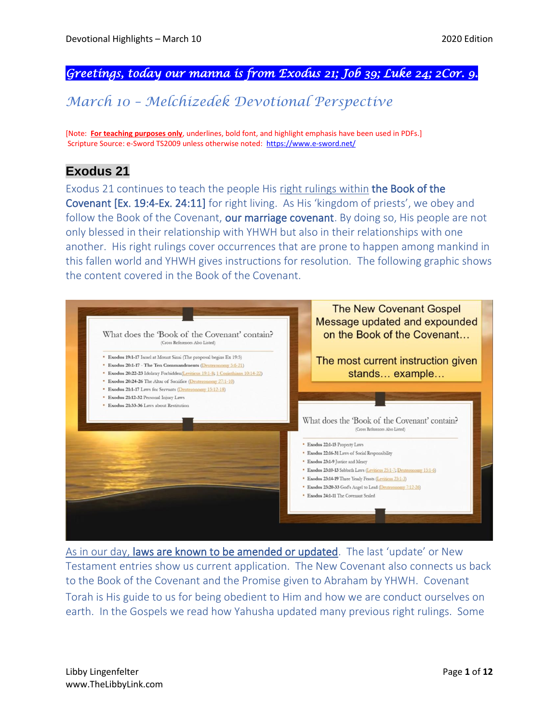### *Greetings, today our manna is from Exodus 21; Job 39; Luke 24; 2Cor. 9.*

# *March 10 – Melchizedek Devotional Perspective*

[Note: **For teaching purposes only**, underlines, bold font, and highlight emphasis have been used in PDFs.] Scripture Source: e-Sword TS2009 unless otherwise noted: <https://www.e-sword.net/>

## **Exodus 21**

Exodus 21 continues to teach the people His right rulings within the Book of the Covenant [Ex. 19:4-Ex. 24:11] for right living. As His 'kingdom of priests', we obey and follow the Book of the Covenant, our marriage covenant. By doing so, His people are not only blessed in their relationship with YHWH but also in their relationships with one another. His right rulings cover occurrences that are prone to happen among mankind in this fallen world and YHWH gives instructions for resolution. The following graphic shows the content covered in the Book of the Covenant.



As in our day, laws are known to be amended or updated. The last 'update' or New Testament entries show us current application. The New Covenant also connects us back to the Book of the Covenant and the Promise given to Abraham by YHWH. Covenant Torah is His guide to us for being obedient to Him and how we are conduct ourselves on earth. In the Gospels we read how Yahusha updated many previous right rulings. Some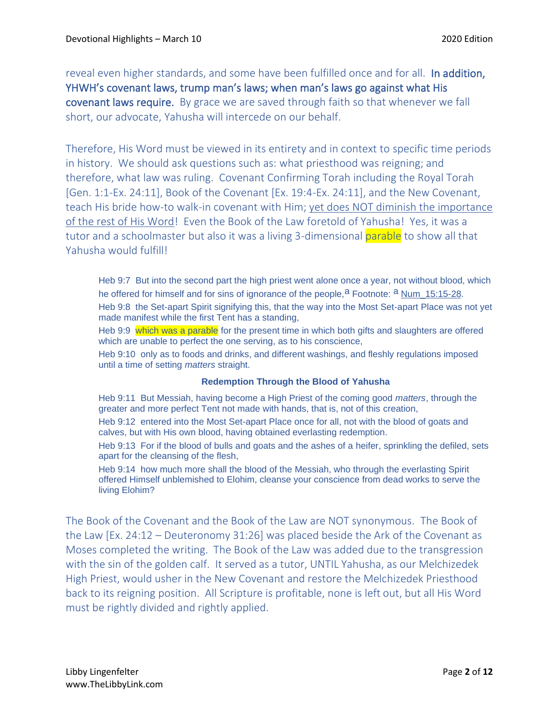reveal even higher standards, and some have been fulfilled once and for all. In addition, YHWH's covenant laws, trump man's laws; when man's laws go against what His covenant laws require. By grace we are saved through faith so that whenever we fall short, our advocate, Yahusha will intercede on our behalf.

Therefore, His Word must be viewed in its entirety and in context to specific time periods in history. We should ask questions such as: what priesthood was reigning; and therefore, what law was ruling. Covenant Confirming Torah including the Royal Torah [Gen. 1:1-Ex. 24:11], Book of the Covenant [Ex. 19:4-Ex. 24:11], and the New Covenant, teach His bride how-to walk-in covenant with Him; yet does NOT diminish the importance of the rest of His Word! Even the Book of the Law foretold of Yahusha! Yes, it was a tutor and a schoolmaster but also it was a living 3-dimensional parable to show all that Yahusha would fulfill!

Heb 9:7 But into the second part the high priest went alone once a year, not without blood, which he offered for himself and for sins of ignorance of the people,<sup>a</sup> Footnote: <sup>a</sup> Num\_15:15-28. Heb 9:8 the Set-apart Spirit signifying this, that the way into the Most Set-apart Place was not yet made manifest while the first Tent has a standing,

Heb 9:9 which was a parable for the present time in which both gifts and slaughters are offered which are unable to perfect the one serving, as to his conscience,

Heb 9:10 only as to foods and drinks, and different washings, and fleshly regulations imposed until a time of setting *matters* straight.

#### **Redemption Through the Blood of Yahusha**

Heb 9:11 But Messiah, having become a High Priest of the coming good *matters*, through the greater and more perfect Tent not made with hands, that is, not of this creation,

Heb 9:12 entered into the Most Set-apart Place once for all, not with the blood of goats and calves, but with His own blood, having obtained everlasting redemption.

Heb 9:13 For if the blood of bulls and goats and the ashes of a heifer, sprinkling the defiled, sets apart for the cleansing of the flesh,

Heb 9:14 how much more shall the blood of the Messiah, who through the everlasting Spirit offered Himself unblemished to Elohim, cleanse your conscience from dead works to serve the living Elohim?

The Book of the Covenant and the Book of the Law are NOT synonymous. The Book of the Law [Ex. 24:12 – Deuteronomy 31:26] was placed beside the Ark of the Covenant as Moses completed the writing. The Book of the Law was added due to the transgression with the sin of the golden calf. It served as a tutor, UNTIL Yahusha, as our Melchizedek High Priest, would usher in the New Covenant and restore the Melchizedek Priesthood back to its reigning position. All Scripture is profitable, none is left out, but all His Word must be rightly divided and rightly applied.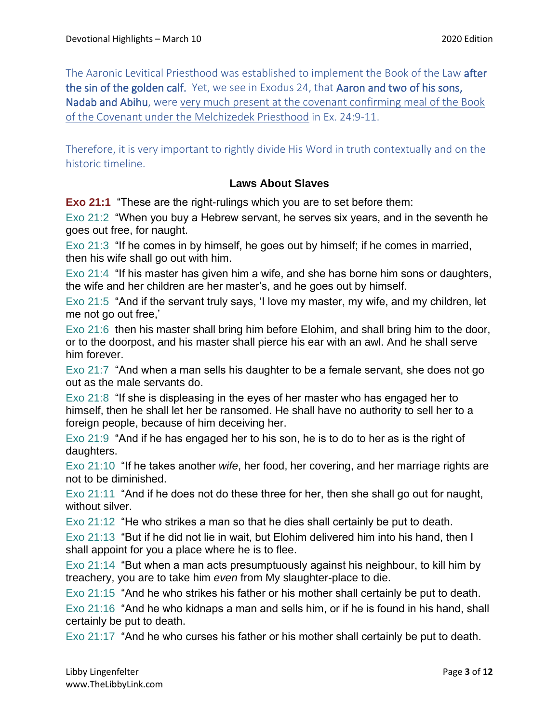The Aaronic Levitical Priesthood was established to implement the Book of the Law after the sin of the golden calf. Yet, we see in Exodus 24, that Aaron and two of his sons, Nadab and Abihu, were very much present at the covenant confirming meal of the Book of the Covenant under the Melchizedek Priesthood in Ex. 24:9-11.

Therefore, it is very important to rightly divide His Word in truth contextually and on the historic timeline.

#### **Laws About Slaves**

**Exo 21:1** "These are the right-rulings which you are to set before them:

Exo 21:2 "When you buy a Hebrew servant, he serves six years, and in the seventh he goes out free, for naught.

Exo 21:3 "If he comes in by himself, he goes out by himself; if he comes in married, then his wife shall go out with him.

Exo 21:4 "If his master has given him a wife, and she has borne him sons or daughters, the wife and her children are her master's, and he goes out by himself.

Exo 21:5 "And if the servant truly says, 'I love my master, my wife, and my children, let me not go out free,'

Exo 21:6 then his master shall bring him before Elohim, and shall bring him to the door, or to the doorpost, and his master shall pierce his ear with an awl. And he shall serve him forever.

Exo 21:7 "And when a man sells his daughter to be a female servant, she does not go out as the male servants do.

Exo 21:8 "If she is displeasing in the eyes of her master who has engaged her to himself, then he shall let her be ransomed. He shall have no authority to sell her to a foreign people, because of him deceiving her.

Exo 21:9 "And if he has engaged her to his son, he is to do to her as is the right of daughters.

Exo 21:10 "If he takes another *wife*, her food, her covering, and her marriage rights are not to be diminished.

Exo 21:11 "And if he does not do these three for her, then she shall go out for naught, without silver.

Exo 21:12 "He who strikes a man so that he dies shall certainly be put to death.

Exo 21:13 "But if he did not lie in wait, but Elohim delivered him into his hand, then I shall appoint for you a place where he is to flee.

Exo 21:14 "But when a man acts presumptuously against his neighbour, to kill him by treachery, you are to take him *even* from My slaughter-place to die.

Exo 21:15 "And he who strikes his father or his mother shall certainly be put to death.

Exo 21:16 "And he who kidnaps a man and sells him, or if he is found in his hand, shall certainly be put to death.

Exo 21:17 "And he who curses his father or his mother shall certainly be put to death.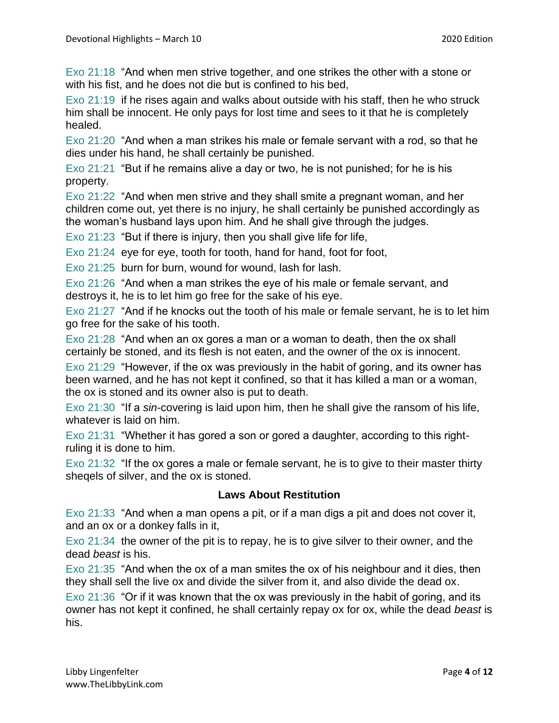Exo 21:18 "And when men strive together, and one strikes the other with a stone or with his fist, and he does not die but is confined to his bed,

Exo 21:19 if he rises again and walks about outside with his staff, then he who struck him shall be innocent. He only pays for lost time and sees to it that he is completely healed.

Exo 21:20 "And when a man strikes his male or female servant with a rod, so that he dies under his hand, he shall certainly be punished.

Exo 21:21 "But if he remains alive a day or two, he is not punished; for he is his property.

Exo 21:22 "And when men strive and they shall smite a pregnant woman, and her children come out, yet there is no injury, he shall certainly be punished accordingly as the woman's husband lays upon him. And he shall give through the judges.

Exo 21:23 "But if there is injury, then you shall give life for life,

Exo 21:24 eye for eye, tooth for tooth, hand for hand, foot for foot,

Exo 21:25 burn for burn, wound for wound, lash for lash.

Exo 21:26 "And when a man strikes the eye of his male or female servant, and destroys it, he is to let him go free for the sake of his eye.

Exo 21:27 "And if he knocks out the tooth of his male or female servant, he is to let him go free for the sake of his tooth.

Exo 21:28 "And when an ox gores a man or a woman to death, then the ox shall certainly be stoned, and its flesh is not eaten, and the owner of the ox is innocent.

Exo 21:29 "However, if the ox was previously in the habit of goring, and its owner has been warned, and he has not kept it confined, so that it has killed a man or a woman, the ox is stoned and its owner also is put to death.

Exo 21:30 "If a *sin*-covering is laid upon him, then he shall give the ransom of his life, whatever is laid on him.

Exo 21:31 "Whether it has gored a son or gored a daughter, according to this rightruling it is done to him.

Exo 21:32 "If the ox gores a male or female servant, he is to give to their master thirty sheqels of silver, and the ox is stoned.

#### **Laws About Restitution**

Exo 21:33 "And when a man opens a pit, or if a man digs a pit and does not cover it, and an ox or a donkey falls in it,

Exo 21:34 the owner of the pit is to repay, he is to give silver to their owner, and the dead *beast* is his.

Exo 21:35 "And when the ox of a man smites the ox of his neighbour and it dies, then they shall sell the live ox and divide the silver from it, and also divide the dead ox.

Exo 21:36 "Or if it was known that the ox was previously in the habit of goring, and its owner has not kept it confined, he shall certainly repay ox for ox, while the dead *beast* is his.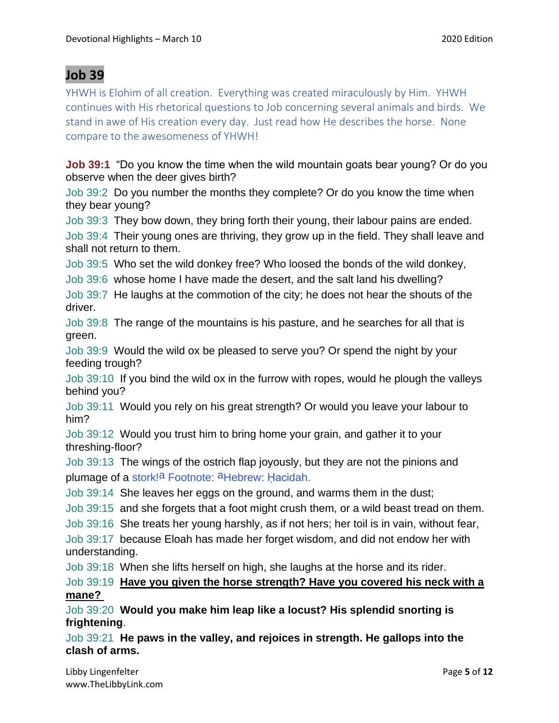## **Job 39**

YHWH is Elohim of all creation. Everything was created miraculously by Him. YHWH continues with His rhetorical questions to Job concerning several animals and birds. We stand in awe of His creation every day. Just read how He describes the horse. None compare to the awesomeness of YHWH!

**Job 39:1** "Do you know the time when the wild mountain goats bear young? Or do you observe when the deer gives birth?

Job 39:2 Do you number the months they complete? Or do you know the time when they bear young?

Job 39:3 They bow down, they bring forth their young, their labour pains are ended.

Job 39:4 Their young ones are thriving, they grow up in the field. They shall leave and shall not return to them.

Job 39:5 Who set the wild donkey free? Who loosed the bonds of the wild donkey,

Job 39:6 whose home I have made the desert, and the salt land his dwelling?

Job 39:7 He laughs at the commotion of the city; he does not hear the shouts of the driver.

Job 39:8 The range of the mountains is his pasture, and he searches for all that is green.

Job 39:9 Would the wild ox be pleased to serve you? Or spend the night by your feeding trough?

Job 39:10 If you bind the wild ox in the furrow with ropes, would he plough the valleys behind you?

Job 39:11 Would you rely on his great strength? Or would you leave your labour to him?

Job 39:12 Would you trust him to bring home your grain, and gather it to your threshing-floor?

Job 39:13 The wings of the ostrich flap joyously, but they are not the pinions and plumage of a stork!<sup>a</sup> Footnote: <sup>a</sup>Hebrew: Hacidah.

Job 39:14 She leaves her eggs on the ground, and warms them in the dust;

Job 39:15 and she forgets that a foot might crush them, or a wild beast tread on them.

Job 39:16 She treats her young harshly, as if not hers; her toil is in vain, without fear,

Job 39:17 because Eloah has made her forget wisdom, and did not endow her with understanding.

Job 39:18 When she lifts herself on high, she laughs at the horse and its rider.

Job 39:19 **Have you given the horse strength? Have you covered his neck with a mane?**

Job 39:20 **Would you make him leap like a locust? His splendid snorting is frightening**.

Job 39:21 **He paws in the valley, and rejoices in strength. He gallops into the clash of arms.**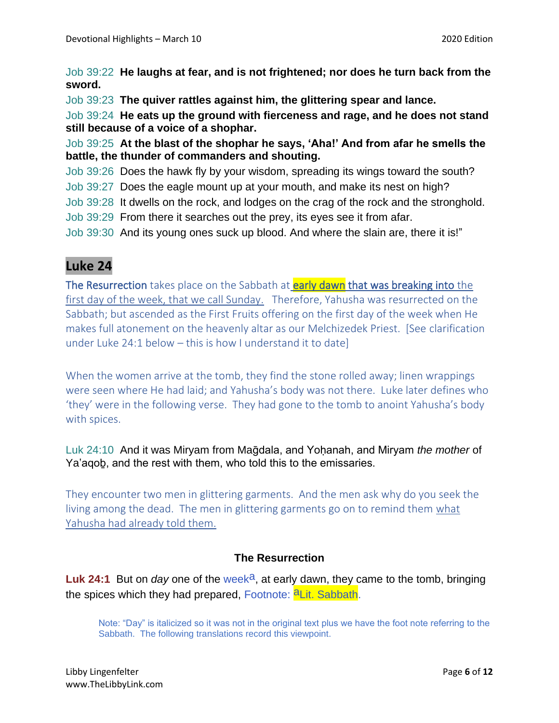Job 39:22 **He laughs at fear, and is not frightened; nor does he turn back from the sword.**

Job 39:23 **The quiver rattles against him, the glittering spear and lance.**

Job 39:24 **He eats up the ground with fierceness and rage, and he does not stand still because of a voice of a shophar.**

Job 39:25 **At the blast of the shophar he says, 'Aha!' And from afar he smells the battle, the thunder of commanders and shouting.**

Job 39:26 Does the hawk fly by your wisdom, spreading its wings toward the south?

- Job 39:27 Does the eagle mount up at your mouth, and make its nest on high?
- Job 39:28 It dwells on the rock, and lodges on the crag of the rock and the stronghold.
- Job 39:29 From there it searches out the prey, its eyes see it from afar.
- Job 39:30 And its young ones suck up blood. And where the slain are, there it is!"

# **Luke 24**

The Resurrection takes place on the Sabbath at **early dawn** that was breaking into the first day of the week, that we call Sunday. Therefore, Yahusha was resurrected on the Sabbath; but ascended as the First Fruits offering on the first day of the week when He makes full atonement on the heavenly altar as our Melchizedek Priest. [See clarification under Luke 24:1 below – this is how I understand it to date]

When the women arrive at the tomb, they find the stone rolled away; linen wrappings were seen where He had laid; and Yahusha's body was not there. Luke later defines who 'they' were in the following verse. They had gone to the tomb to anoint Yahusha's body with spices.

Luk 24:10 And it was Miryam from Ma@dala, and Yohanah, and Miryam *the mother* of Ya'aqoḇ, and the rest with them, who told this to the emissaries.

They encounter two men in glittering garments. And the men ask why do you seek the living among the dead. The men in glittering garments go on to remind them what Yahusha had already told them.

### **The Resurrection**

**Luk 24:1** But on *day* one of the week<sup>a</sup>, at early dawn, they came to the tomb, bringing the spices which they had prepared, Footnote: **aLit. Sabbath.** 

Note: "Day" is italicized so it was not in the original text plus we have the foot note referring to the Sabbath. The following translations record this viewpoint.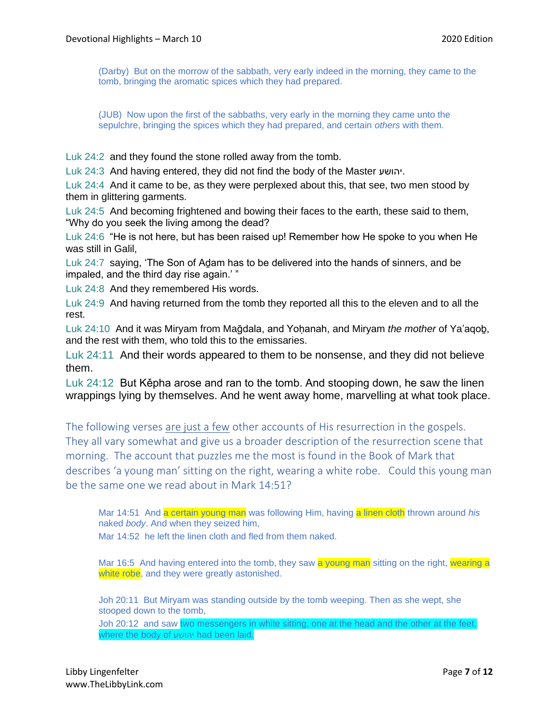(Darby) But on the morrow of the sabbath, very early indeed in the morning, they came to the tomb, bringing the aromatic spices which they had prepared.

(JUB) Now upon the first of the sabbaths, very early in the morning they came unto the sepulchre, bringing the spices which they had prepared, and certain *others* with them.

Luk 24:2 and they found the stone rolled away from the tomb.

Luk 24:3 And having entered, they did not find the body of the Master יהושע.

Luk 24:4 And it came to be, as they were perplexed about this, that see, two men stood by them in glittering garments.

Luk 24:5 And becoming frightened and bowing their faces to the earth, these said to them, "Why do you seek the living among the dead?

Luk 24:6 "He is not here, but has been raised up! Remember how He spoke to you when He was still in Galil,

Luk 24:7 saying, 'The Son of Adam has to be delivered into the hands of sinners, and be impaled, and the third day rise again.' "

Luk 24:8 And they remembered His words.

Luk 24:9 And having returned from the tomb they reported all this to the eleven and to all the rest.

Luk 24:10 And it was Miryam from Ma@dala, and Yohanah, and Miryam *the mother* of Ya'aqob, and the rest with them, who told this to the emissaries.

Luk 24:11 And their words appeared to them to be nonsense, and they did not believe them.

Luk 24:12 But Kěpha arose and ran to the tomb. And stooping down, he saw the linen wrappings lying by themselves. And he went away home, marvelling at what took place.

The following verses are just a few other accounts of His resurrection in the gospels. They all vary somewhat and give us a broader description of the resurrection scene that morning. The account that puzzles me the most is found in the Book of Mark that describes 'a young man' sitting on the right, wearing a white robe. Could this young man be the same one we read about in Mark 14:51?

Mar 14:51 And a certain young man was following Him, having a linen cloth thrown around *his* naked *body*. And when they seized him,

Mar 14:52, he left the linen cloth and fled from them naked.

Mar 16:5 And having entered into the tomb, they saw a young man sitting on the right, wearing a white robe, and they were greatly astonished.

Joh 20:11 But Miryam was standing outside by the tomb weeping. Then as she wept, she stooped down to the tomb,

Joh 20:12 and saw two messengers in white sitting, one at the head and the other at the feet, where the body of יהושע had been laid.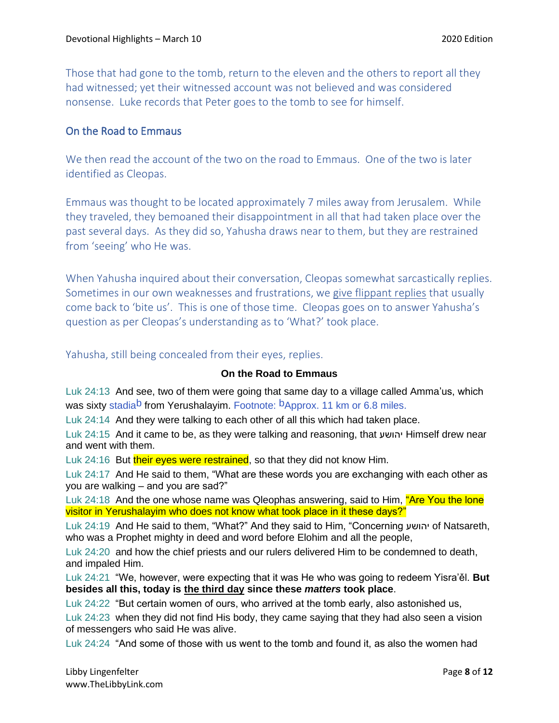Those that had gone to the tomb, return to the eleven and the others to report all they had witnessed; yet their witnessed account was not believed and was considered nonsense. Luke records that Peter goes to the tomb to see for himself.

#### On the Road to Emmaus

We then read the account of the two on the road to Emmaus. One of the two is later identified as Cleopas.

Emmaus was thought to be located approximately 7 miles away from Jerusalem. While they traveled, they bemoaned their disappointment in all that had taken place over the past several days. As they did so, Yahusha draws near to them, but they are restrained from 'seeing' who He was.

When Yahusha inquired about their conversation, Cleopas somewhat sarcastically replies. Sometimes in our own weaknesses and frustrations, we give flippant replies that usually come back to 'bite us'. This is one of those time. Cleopas goes on to answer Yahusha's question as per Cleopas's understanding as to 'What?' took place.

Yahusha, still being concealed from their eyes, replies.

#### **On the Road to Emmaus**

Luk 24:13 And see, two of them were going that same day to a village called Amma'us, which was sixty stadia<sup>b</sup> from Yerushalayim. Footnote: <sup>b</sup>Approx. 11 km or 6.8 miles.

Luk 24:14 And they were talking to each other of all this which had taken place.

Luk 24:15 And it came to be, as they were talking and reasoning, that יהושע Himself drew near and went with them.

Luk 24:16 But their eyes were restrained, so that they did not know Him.

Luk 24:17 And He said to them, "What are these words you are exchanging with each other as you are walking – and you are sad?"

Luk 24:18 And the one whose name was Qleophas answering, said to Him, "Are You the lone visitor in Yerushalayim who does not know what took place in it these days?"

Luk 24:19 And He said to them, "What?" And they said to Him, "Concerning יהושע of Natsareth, who was a Prophet mighty in deed and word before Elohim and all the people,

Luk 24:20 and how the chief priests and our rulers delivered Him to be condemned to death, and impaled Him.

Luk 24:21 "We, however, were expecting that it was He who was going to redeem Yisra'ěl. **But besides all this, today is the third day since these** *matters* **took place**.

Luk 24:22 "But certain women of ours, who arrived at the tomb early, also astonished us,

Luk 24:23 when they did not find His body, they came saying that they had also seen a vision of messengers who said He was alive.

Luk 24:24 "And some of those with us went to the tomb and found it, as also the women had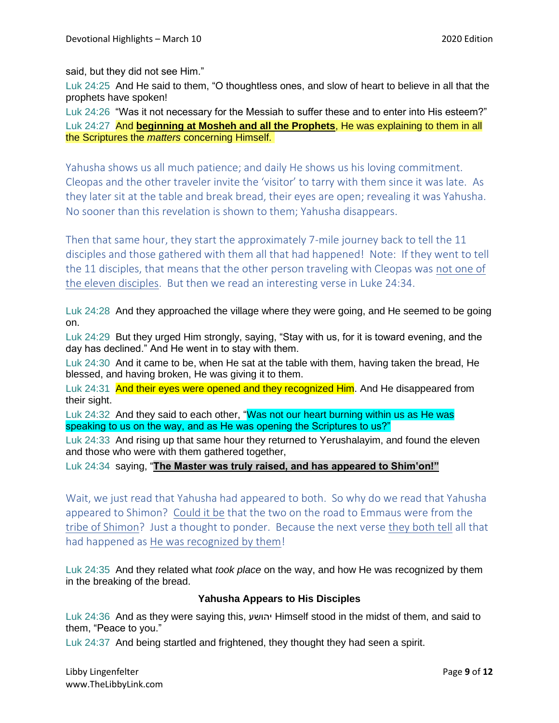said, but they did not see Him."

Luk 24:25 And He said to them, "O thoughtless ones, and slow of heart to believe in all that the prophets have spoken!

Luk 24:26 "Was it not necessary for the Messiah to suffer these and to enter into His esteem?" Luk 24:27 And **beginning at Mosheh and all the Prophets**, He was explaining to them in all the Scriptures the *matters* concerning Himself.

Yahusha shows us all much patience; and daily He shows us his loving commitment. Cleopas and the other traveler invite the 'visitor' to tarry with them since it was late. As they later sit at the table and break bread, their eyes are open; revealing it was Yahusha. No sooner than this revelation is shown to them; Yahusha disappears.

Then that same hour, they start the approximately 7-mile journey back to tell the 11 disciples and those gathered with them all that had happened! Note: If they went to tell the 11 disciples, that means that the other person traveling with Cleopas was not one of the eleven disciples. But then we read an interesting verse in Luke 24:34.

Luk 24:28 And they approached the village where they were going, and He seemed to be going on.

Luk 24:29 But they urged Him strongly, saying, "Stay with us, for it is toward evening, and the day has declined." And He went in to stay with them.

Luk 24:30 And it came to be, when He sat at the table with them, having taken the bread, He blessed, and having broken, He was giving it to them.

Luk 24:31 And their eyes were opened and they recognized Him. And He disappeared from their sight.

Luk 24:32 And they said to each other, "Was not our heart burning within us as He was speaking to us on the way, and as He was opening the Scriptures to us?"

Luk 24:33 And rising up that same hour they returned to Yerushalayim, and found the eleven and those who were with them gathered together,

Luk 24:34 saying, "**The Master was truly raised, and has appeared to Shim'on!"**

Wait, we just read that Yahusha had appeared to both. So why do we read that Yahusha appeared to Shimon? Could it be that the two on the road to Emmaus were from the tribe of Shimon? Just a thought to ponder. Because the next verse they both tell all that had happened as He was recognized by them!

Luk 24:35 And they related what *took place* on the way, and how He was recognized by them in the breaking of the bread.

#### **Yahusha Appears to His Disciples**

Luk 24:36 And as they were saying this, יהושע Himself stood in the midst of them, and said to them, "Peace to you."

Luk 24:37 And being startled and frightened, they thought they had seen a spirit.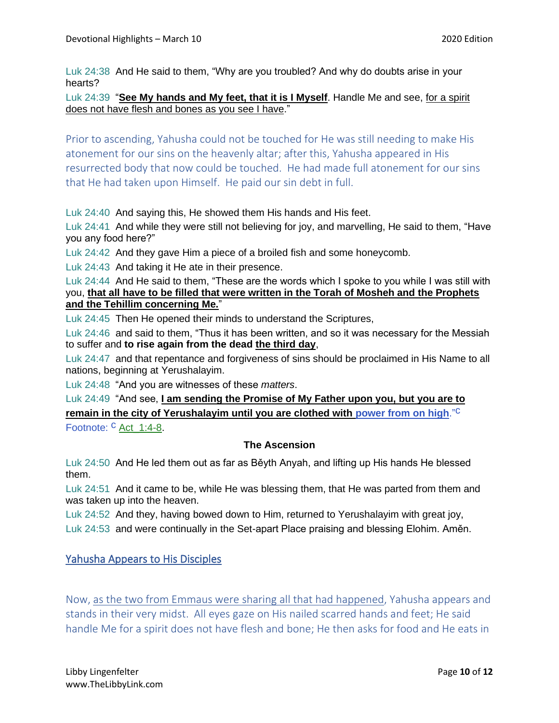Luk 24:38 And He said to them, "Why are you troubled? And why do doubts arise in your hearts?

Luk 24:39 "**See My hands and My feet, that it is I Myself**. Handle Me and see, for a spirit does not have flesh and bones as you see I have."

Prior to ascending, Yahusha could not be touched for He was still needing to make His atonement for our sins on the heavenly altar; after this, Yahusha appeared in His resurrected body that now could be touched. He had made full atonement for our sins that He had taken upon Himself. He paid our sin debt in full.

Luk 24:40 And saying this, He showed them His hands and His feet.

Luk 24:41 And while they were still not believing for joy, and marvelling, He said to them, "Have you any food here?"

Luk 24:42 And they gave Him a piece of a broiled fish and some honeycomb.

Luk 24:43 And taking it He ate in their presence.

Luk 24:44 And He said to them, "These are the words which I spoke to you while I was still with you, **that all have to be filled that were written in the Torah of Mosheh and the Prophets and the Tehillim concerning Me.**"

Luk 24:45 Then He opened their minds to understand the Scriptures,

Luk 24:46 and said to them, "Thus it has been written, and so it was necessary for the Messiah to suffer and **to rise again from the dead the third day**,

Luk 24:47 and that repentance and forgiveness of sins should be proclaimed in His Name to all nations, beginning at Yerushalayim.

Luk 24:48 "And you are witnesses of these *matters*.

Luk 24:49 "And see, **I am sending the Promise of My Father upon you, but you are to remain in the city of Yerushalayim until you are clothed with power from on high**." c

Footnote: C Act 1:4-8.

#### **The Ascension**

Luk 24:50 And He led them out as far as Běyth Anyah, and lifting up His hands He blessed them.

Luk 24:51 And it came to be, while He was blessing them, that He was parted from them and was taken up into the heaven.

Luk 24:52 And they, having bowed down to Him, returned to Yerushalayim with great joy, Luk 24:53 and were continually in the Set-apart Place praising and blessing Elohim. Aměn.

#### Yahusha Appears to His Disciples

Now, as the two from Emmaus were sharing all that had happened, Yahusha appears and stands in their very midst. All eyes gaze on His nailed scarred hands and feet; He said handle Me for a spirit does not have flesh and bone; He then asks for food and He eats in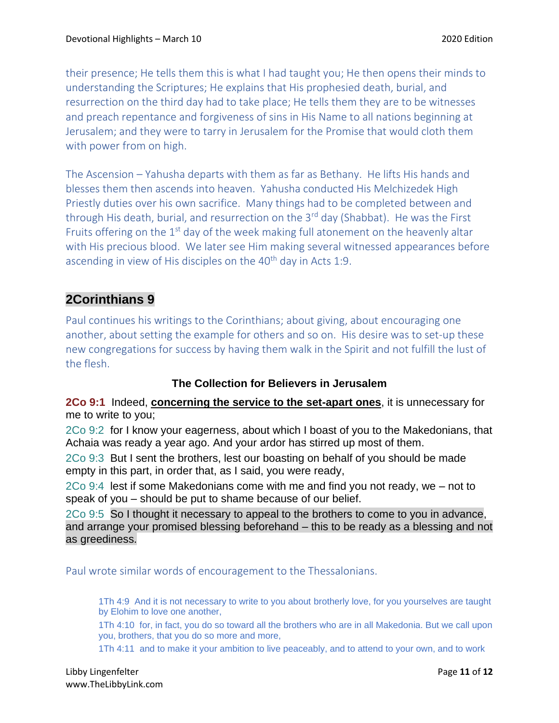their presence; He tells them this is what I had taught you; He then opens their minds to understanding the Scriptures; He explains that His prophesied death, burial, and resurrection on the third day had to take place; He tells them they are to be witnesses and preach repentance and forgiveness of sins in His Name to all nations beginning at Jerusalem; and they were to tarry in Jerusalem for the Promise that would cloth them with power from on high.

The Ascension – Yahusha departs with them as far as Bethany. He lifts His hands and blesses them then ascends into heaven. Yahusha conducted His Melchizedek High Priestly duties over his own sacrifice. Many things had to be completed between and through His death, burial, and resurrection on the 3<sup>rd</sup> day (Shabbat). He was the First Fruits offering on the  $1<sup>st</sup>$  day of the week making full atonement on the heavenly altar with His precious blood. We later see Him making several witnessed appearances before ascending in view of His disciples on the  $40<sup>th</sup>$  day in Acts 1:9.

## **2Corinthians 9**

Paul continues his writings to the Corinthians; about giving, about encouraging one another, about setting the example for others and so on. His desire was to set-up these new congregations for success by having them walk in the Spirit and not fulfill the lust of the flesh.

### **The Collection for Believers in Jerusalem**

**2Co 9:1** Indeed, **concerning the service to the set-apart ones**, it is unnecessary for me to write to you;

2Co 9:2 for I know your eagerness, about which I boast of you to the Makedonians, that Achaia was ready a year ago. And your ardor has stirred up most of them.

2Co 9:3 But I sent the brothers, lest our boasting on behalf of you should be made empty in this part, in order that, as I said, you were ready,

2Co 9:4 lest if some Makedonians come with me and find you not ready, we – not to speak of you – should be put to shame because of our belief.

2Co 9:5 So I thought it necessary to appeal to the brothers to come to you in advance, and arrange your promised blessing beforehand – this to be ready as a blessing and not as greediness.

Paul wrote similar words of encouragement to the Thessalonians.

1Th 4:9 And it is not necessary to write to you about brotherly love, for you yourselves are taught by Elohim to love one another,

1Th 4:10 for, in fact, you do so toward all the brothers who are in all Makedonia. But we call upon you, brothers, that you do so more and more,

1Th 4:11 and to make it your ambition to live peaceably, and to attend to your own, and to work